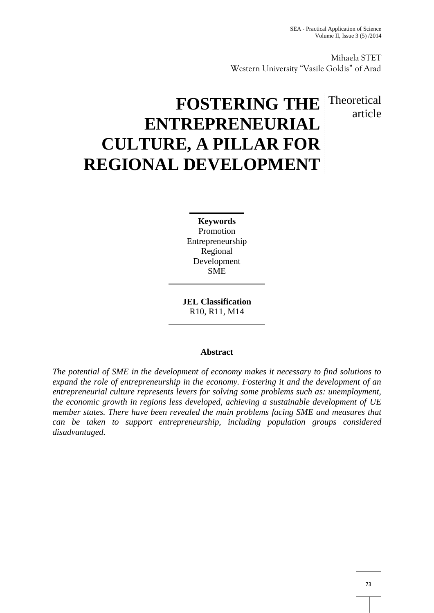Mihaela STET Western University "Vasile Goldis" of Arad

## Theoretical article

# **FOSTERING THE ENTREPRENEURIAL CULTURE, A PILLAR FOR REGIONAL DEVELOPMENT**

**Keywords** Promotion Entrepreneurship Regional Development SME

**JEL Classification** R10, R11, M14

### **Abstract**

*The potential of SME in the development of economy makes it necessary to find solutions to expand the role of entrepreneurship in the economy. Fostering it and the development of an entrepreneurial culture represents levers for solving some problems such as: unemployment, the economic growth in regions less developed, achieving a sustainable development of UE member states. There have been revealed the main problems facing SME and measures that can be taken to support entrepreneurship, including population groups considered disadvantaged.*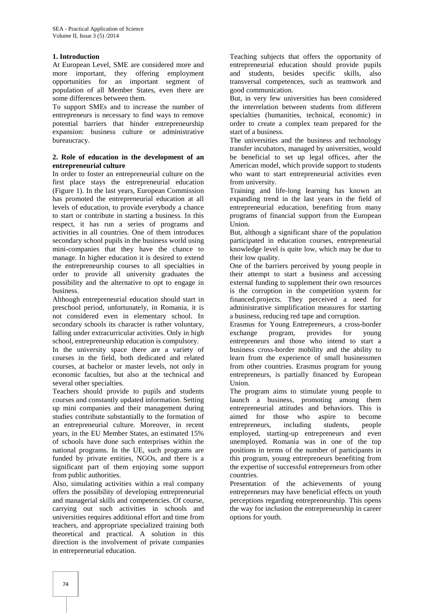#### **1. Introduction**

At European Level, SME are considered more and more important, they offering employment opportunities for an important segment of population of all Member States, even there are some differences between them.

To support SMEs and to increase the number of entrepreneurs is necessary to find ways to remove potential barriers that hinder entrepreneurship expansion: business culture or administrative bureaucracy.

#### **2. Role of education in the development of an entrepreneurial culture**

In order to foster an entrepreneurial culture on the first place stays the entrepreneurial education (Figure 1). In the last years, European Commission has promoted the entrepreneurial education at all levels of education, to provide everybody a chance to start or contribute in starting a business. In this respect, it has run a series of programs and activities in all countries. One of them introduces secondary school pupils in the business world using mini-companies that they have the chance to manage. In higher education it is desired to extend the entrepreneurship courses to all specialties in order to provide all university graduates the possibility and the alternative to opt to engage in business.

Although entrepreneurial education should start in preschool period, unfortunately, in Romania, it is not considered even in elementary school. In secondary schools its character is rather voluntary, falling under extracurricular activities. Only in high exchange school, entrepreneurship education is compulsory.

In the university space there are a variety of courses in the field, both dedicated and related courses, at bachelor or master levels, not only in economic faculties, but also at the technical and several other specialties.

Teachers should provide to pupils and students courses and constantly updated information. Setting up mini companies and their management during studies contribute substantially to the formation of an entrepreneurial culture. Moreover, in recent years, in the EU Member States, an estimated 15% of schools have done such enterprises within the national programs. In the UE, such programs are funded by private entities, NGOs, and there is a significant part of them enjoying some support from public authorities.

Also, simulating activities within a real company offers the possibility of developing entrepreneurial and managerial skills and competencies. Of course, carrying out such activities in schools and universities requires additional effort and time from teachers, and appropriate specialized training both theoretical and practical. A solution in this direction is the involvement of private companies in entrepreneurial education.

Teaching subjects that offers the opportunity of entrepreneurial education should provide pupils and students, besides specific skills, also transversal competences, such as teamwork and good communication.

But, in very few universities has been considered the interrelation between students from different specialties (humanities, technical, economic) in order to create a complex team prepared for the start of a business.

The universities and the business and technology transfer incubators, managed by universities, would be beneficial to set up legal offices, after the American model, which provide support to students who want to start entrepreneurial activities even from university.

Training and life-long learning has known an expanding trend in the last years in the field of entrepreneurial education, benefiting from many programs of financial support from the European Union.

But, although a significant share of the population participated in education courses, entrepreneurial knowledge level is quite low, which may be due to their low quality.

One of the barriers perceived by young people in their attempt to start a business and accessing external funding to supplement their own resources is the corruption in the competition system for financed.projects. They perceived a need for administrative simplification measures for starting a business, reducing red tape and corruption.

Erasmus for Young Entrepreneurs, a cross-border program, provides for young entrepreneurs and those who intend to start a business cross-border mobility and the ability to learn from the experience of small businessmen from other countries. Erasmus program for young entrepreneurs, is partially financed by European Union.

The program aims to stimulate young people to launch a business, promoting among them entrepreneurial attitudes and behaviors. This is aimed for those who aspire to become entrepreneurs, including students, people employed, starting-up entrepreneurs and even unemployed. Romania was in one of the top positions in terms of the number of participants in this program, young entrepreneurs benefiting from the expertise of successful entrepreneurs from other countries.

Presentation of the achievements of young entrepreneurs may have beneficial effects on youth perceptions regarding entrepreneurship. This opens the way for inclusion the entrepreneurship in career options for youth.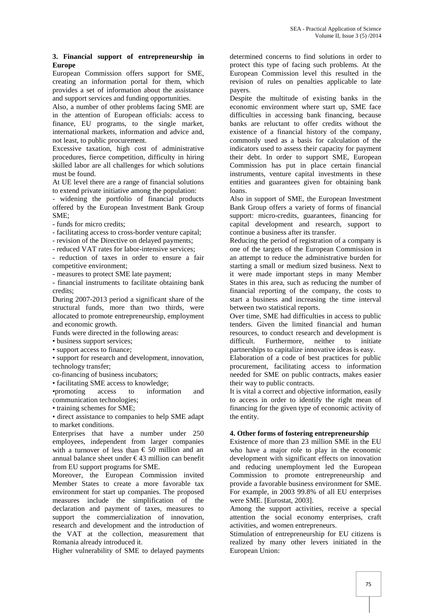#### **3. Financial support of entrepreneurship in Europe**

European Commission offers support for SME, creating an information portal for them, which provides a set of information about the assistance and support services and funding opportunities.

Also, a number of other problems facing SME are in the attention of European officials: access to finance, EU programs, to the single market, international markets, information and advice and, not least, to public procurement.

Excessive taxation, high cost of administrative procedures, fierce competition, difficulty in hiring skilled labor are all challenges for which solutions must be found.

At UE level there are a range of financial solutions to extend private initiative among the population:

- widening the portfolio of financial products offered by the European Investment Bank Group SME;

- funds for micro credits;

- facilitating access to cross-border venture capital;

- revision of the Directive on delayed payments;

- reduced VAT rates for labor-intensive services;

- reduction of taxes in order to ensure a fair competitive environment;

- measures to protect SME late payment;

- financial instruments to facilitate obtaining bank credits;

During 2007-2013 period a significant share of the structural funds, more than two thirds, were allocated to promote entrepreneurship, employment and economic growth.

Funds were directed in the following areas:

• business support services;

• support access to finance;

• support for research and development, innovation, technology transfer;

co-financing of business incubators;

• facilitating SME access to knowledge;

•promoting access to information and communication technologies;

• training schemes for SME;

• direct assistance to companies to help SME adapt to market conditions.

Enterprises that have a number under 250 employees, independent from larger companies with a turnover of less than  $\epsilon$  50 million and an annual balance sheet under  $\epsilon$ 43 million can benefit from EU support programs for SME.

Moreover, the European Commission invited Member States to create a more favorable tax environment for start up companies. The proposed measures include the simplification of the declaration and payment of taxes, measures to support the commercialization of innovation, research and development and the introduction of the VAT at the collection, measurement that Romania already introduced it.

Higher vulnerability of SME to delayed payments

determined concerns to find solutions in order to protect this type of facing such problems. At the European Commission level this resulted in the revision of rules on penalties applicable to late payers.

Despite the multitude of existing banks in the economic environment where start up, SME face difficulties in accessing bank financing, because banks are reluctant to offer credits without the existence of a financial history of the company, commonly used as a basis for calculation of the indicators used to assess their capacity for payment their debt. In order to support SME, European Commission has put in place certain financial instruments, venture capital investments in these entities and guarantees given for obtaining bank loans.

Also in support of SME, the European Investment Bank Group offers a variety of forms of financial support: micro-credits, guarantees, financing for capital development and research, support to continue a business after its transfer.

Reducing the period of registration of a company is one of the targets of the European Commission in an attempt to reduce the administrative burden for starting a small or medium sized business. Next to it were made important steps in many Member States in this area, such as reducing the number of financial reporting of the company, the costs to start a business and increasing the time interval between two statistical reports.

Over time, SME had difficulties in access to public tenders. Given the limited financial and human resources, to conduct research and development is difficult. Furthermore, neither to initiate partnerships to capitalize innovative ideas is easy.

Elaboration of a code of best practices for public procurement, facilitating access to information needed for SME on public contracts, makes easier their way to public contracts.

It is vital a correct and objective information, easily to access in order to identify the right mean of financing for the given type of economic activity of the entity.

#### **4. Other forms of fostering entrepreneurship**

Existence of more than 23 million SME in the EU who have a major role to play in the economic development with significant effects on innovation and reducing unemployment led the European Commission to promote entrepreneurship and provide a favorable business environment for SME. For example, in 2003 99.8% of all EU enterprises were SME. [Eurostat, 2003].

Among the support activities, receive a special attention the social economy enterprises, craft activities, and women entrepreneurs.

Stimulation of entrepreneurship for EU citizens is realized by many other levers initiated in the European Union: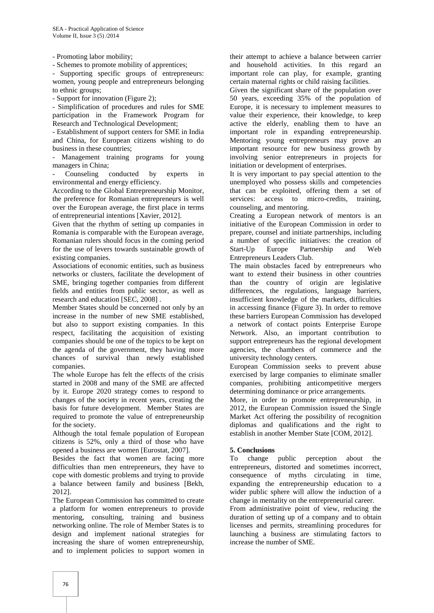- Promoting labor mobility;

- Schemes to promote mobility of apprentices;

- Supporting specific groups of entrepreneurs: women, young people and entrepreneurs belonging to ethnic groups;

- Support for innovation (Figure 2);

- Simplification of procedures and rules for SME participation in the Framework Program for Research and Technological Development;

- Establishment of support centers for SME in India and China, for European citizens wishing to do business in these countries;

Management training programs for young managers in China;

Counseling conducted by experts in environmental and energy efficiency.

According to the Global Entrepreneurship Monitor, the preference for Romanian entrepreneurs is well over the European average, the first place in terms of entrepreneurial intentions [Xavier, 2012].

Given that the rhythm of setting up companies in Romania is comparable with the European average, Romanian rulers should focus in the coming period for the use of levers towards sustainable growth of existing companies.

Associations of economic entities, such as business networks or clusters, facilitate the development of SME, bringing together companies from different fields and entities from public sector, as well as research and education [SEC, 2008] .

Member States should be concerned not only by an increase in the number of new SME established, but also to support existing companies. In this respect, facilitating the acquisition of existing companies should be one of the topics to be kept on the agenda of the government, they having more chances of survival than newly established companies.

The whole Europe has felt the effects of the crisis started in 2008 and many of the SME are affected by it. Europe 2020 strategy comes to respond to changes of the society in recent years, creating the basis for future development. Member States are required to promote the value of entrepreneurship for the society.

Although the total female population of European citizens is 52%, only a third of those who have opened a business are women [Eurostat, 2007].

Besides the fact that women are facing more difficulties than men entrepreneurs, they have to cope with domestic problems and trying to provide a balance between family and business [Bekh, 2012].

The European Commission has committed to create a platform for women entrepreneurs to provide mentoring, consulting, training and business networking online. The role of Member States is to design and implement national strategies for increasing the share of women entrepreneurship, and to implement policies to support women in

their attempt to achieve a balance between carrier and household activities. In this regard an important role can play, for example, granting certain maternal rights or child raising facilities.

Given the significant share of the population over 50 years, exceeding 35% of the population of Europe, it is necessary to implement measures to value their experience, their knowledge, to keep active the elderly, enabling them to have an important role in expanding entrepreneurship. Mentoring young entrepreneurs may prove an important resource for new business growth by involving senior entrepreneurs in projects for initiation or development of enterprises.

It is very important to pay special attention to the unemployed who possess skills and competencies that can be exploited, offering them a set of services: access to micro-credits, training, counseling, and mentoring.

Creating a European network of mentors is an initiative of the European Commission in order to prepare, counsel and initiate partnerships, including a number of specific initiatives: the creation of Start-Up Europe Partnership and Web Entrepreneurs Leaders Club.

The main obstacles faced by entrepreneurs who want to extend their business in other countries than the country of origin are legislative differences, the regulations, language barriers, insufficient knowledge of the markets, difficulties in accessing finance (Figure 3). In order to remove these barriers European Commission has developed a network of contact points Enterprise Europe Network. Also, an important contribution to support entrepreneurs has the regional development agencies, the chambers of commerce and the university technology centers.

European Commission seeks to prevent abuse exercised by large companies to eliminate smaller companies, prohibiting anticompetitive mergers determining dominance or price arrangements.

More, in order to promote entrepreneurship, in 2012, the European Commission issued the Single Market Act offering the possibility of recognition diplomas and qualifications and the right to establish in another Member State [COM, 2012].

**5. Conclusions**<br>To change public To change public perception about the entrepreneurs, distorted and sometimes incorrect, consequence of myths circulating in time, expanding the entrepreneurship education to a wider public sphere will allow the induction of a change in mentality on the entrepreneurial career.

From administrative point of view, reducing the duration of setting up of a company and to obtain licenses and permits, streamlining procedures for launching a business are stimulating factors to increase the number of SME.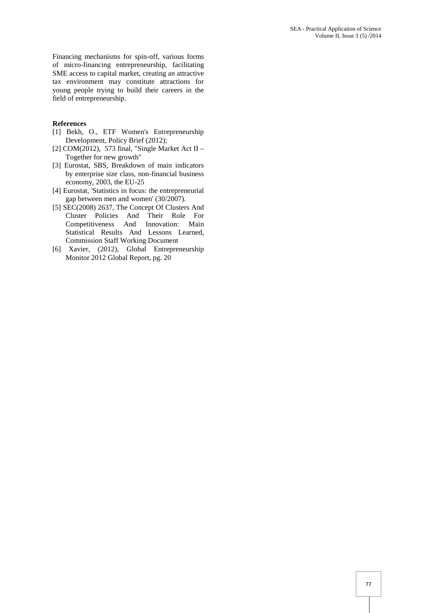Financing mechanisms for spin-off, various forms of micro-financing entrepreneurship, facilitating SME access to capital market, creating an attractive tax environment may constitute attractions for young people trying to build their careers in the field of entrepreneurship.

#### **References**

- [1] Bekh, O., ETF Women's Entrepreneurship Development, Policy Brief (2012);
- [2] COM(2012), 573 final, "Single Market Act II Together for new growth"
- [3] Eurostat, SBS, Breakdown of main indicators by enterprise size class, non-financial business economy, 2003, the EU-25
- [4] Eurostat, 'Statistics in focus: the entrepreneurial gap between men and women' (30/2007).
- [5] SEC(2008) 2637, The Concept Of Clusters And Cluster Policies And Their Role For Competitiveness And Innovation: Main Statistical Results And Lessons Learned, Commission Staff Working Document
- [6] Xavier, (2012), Global Entrepreneurship Monitor 2012 Global Report, pg. 20